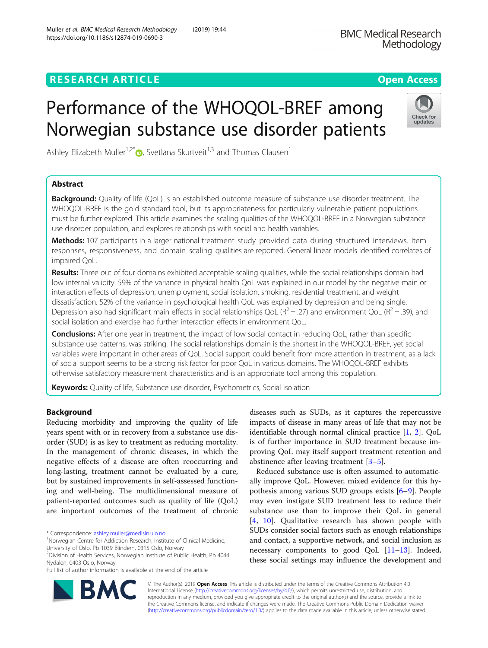**BMC Medical Research** 

# Performance of the WHOQOL-BREF among Norwegian substance use disorder patients

Ashley Elizabeth Muller<sup>1,2[\\*](http://orcid.org/0000-0001-7819-6697)</sup> $\bullet$ , Svetlana Skurtveit<sup>1,3</sup> and Thomas Clausen<sup>1</sup>

# Abstract

**Background:** Quality of life (QoL) is an established outcome measure of substance use disorder treatment. The WHOQOL-BREF is the gold standard tool, but its appropriateness for particularly vulnerable patient populations must be further explored. This article examines the scaling qualities of the WHOQOL-BREF in a Norwegian substance use disorder population, and explores relationships with social and health variables.

Methods: 107 participants in a larger national treatment study provided data during structured interviews. Item responses, responsiveness, and domain scaling qualities are reported. General linear models identified correlates of impaired QoL.

Results: Three out of four domains exhibited acceptable scaling qualities, while the social relationships domain had low internal validity. 59% of the variance in physical health QoL was explained in our model by the negative main or interaction effects of depression, unemployment, social isolation, smoking, residential treatment, and weight dissatisfaction. 52% of the variance in psychological health QoL was explained by depression and being single. Depression also had significant main effects in social relationships QoL ( $R^2 = .27$ ) and environment QoL ( $R^2 = .39$ ), and social isolation and exercise had further interaction effects in environment QoL.

**Conclusions:** After one year in treatment, the impact of low social contact in reducing QoL, rather than specific substance use patterns, was striking. The social relationships domain is the shortest in the WHOQOL-BREF, yet social variables were important in other areas of QoL. Social support could benefit from more attention in treatment, as a lack of social support seems to be a strong risk factor for poor QoL in various domains. The WHOQOL-BREF exhibits otherwise satisfactory measurement characteristics and is an appropriate tool among this population.

Keywords: Quality of life, Substance use disorder, Psychometrics, Social isolation

# **Background**

Reducing morbidity and improving the quality of life years spent with or in recovery from a substance use disorder (SUD) is as key to treatment as reducing mortality. In the management of chronic diseases, in which the negative effects of a disease are often reoccurring and long-lasting, treatment cannot be evaluated by a cure, but by sustained improvements in self-assessed functioning and well-being. The multidimensional measure of patient-reported outcomes such as quality of life (QoL) are important outcomes of the treatment of chronic

\* Correspondence: [ashley.muller@medisin.uio.no](mailto:ashley.muller@medisin.uio.no) <sup>1</sup>

<sup>1</sup>Norwegian Centre for Addiction Research, Institute of Clinical Medicine, University of Oslo, Pb 1039 Blindern, 0315 Oslo, Norway

2 Division of Health Services, Norwegian Institute of Public Health, Pb 4044 Nydalen, 0403 Oslo, Norway

Full list of author information is available at the end of the article

diseases such as SUDs, as it captures the repercussive impacts of disease in many areas of life that may not be identifiable through normal clinical practice [\[1](#page-7-0), [2](#page-7-0)]. QoL is of further importance in SUD treatment because improving QoL may itself support treatment retention and abstinence after leaving treatment [[3](#page-7-0)–[5](#page-7-0)].

Reduced substance use is often assumed to automatically improve QoL. However, mixed evidence for this hypothesis among various SUD groups exists [\[6](#page-7-0)–[9\]](#page-7-0). People may even instigate SUD treatment less to reduce their substance use than to improve their QoL in general [[4,](#page-7-0) [10](#page-7-0)]. Qualitative research has shown people with SUDs consider social factors such as enough relationships and contact, a supportive network, and social inclusion as necessary components to good QoL [[11](#page-7-0)–[13\]](#page-7-0). Indeed, these social settings may influence the development and



© The Author(s). 2019 **Open Access** This article is distributed under the terms of the Creative Commons Attribution 4.0 International License [\(http://creativecommons.org/licenses/by/4.0/](http://creativecommons.org/licenses/by/4.0/)), which permits unrestricted use, distribution, and reproduction in any medium, provided you give appropriate credit to the original author(s) and the source, provide a link to the Creative Commons license, and indicate if changes were made. The Creative Commons Public Domain Dedication waiver [\(http://creativecommons.org/publicdomain/zero/1.0/](http://creativecommons.org/publicdomain/zero/1.0/)) applies to the data made available in this article, unless otherwise stated.

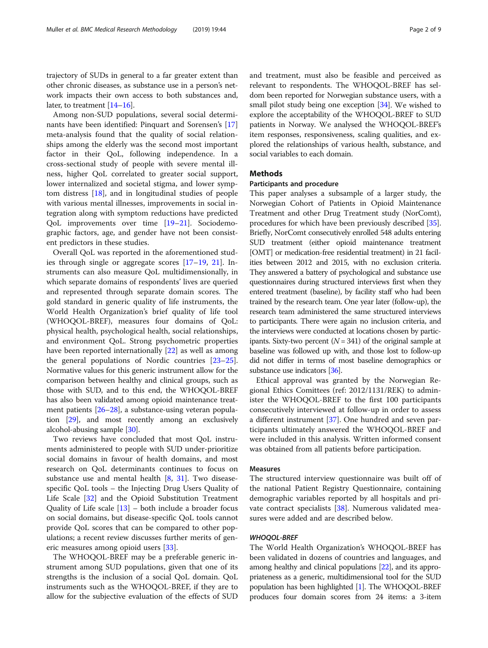Among non-SUD populations, several social determinants have been identified: Pinquart and Sorensen's [[17](#page-7-0)] meta-analysis found that the quality of social relationships among the elderly was the second most important factor in their QoL, following independence. In a cross-sectional study of people with severe mental illness, higher QoL correlated to greater social support, lower internalized and societal stigma, and lower symptom distress [\[18\]](#page-7-0), and in longitudinal studies of people with various mental illnesses, improvements in social integration along with symptom reductions have predicted QoL improvements over time [\[19](#page-7-0)–[21\]](#page-7-0). Sociodemographic factors, age, and gender have not been consistent predictors in these studies.

Overall QoL was reported in the aforementioned studies through single or aggregate scores [\[17](#page-7-0)–[19,](#page-7-0) [21](#page-7-0)]. Instruments can also measure QoL multidimensionally, in which separate domains of respondents' lives are queried and represented through separate domain scores. The gold standard in generic quality of life instruments, the World Health Organization's brief quality of life tool (WHOQOL-BREF), measures four domains of QoL: physical health, psychological health, social relationships, and environment QoL. Strong psychometric properties have been reported internationally [\[22](#page-7-0)] as well as among the general populations of Nordic countries [[23](#page-7-0)–[25](#page-7-0)]. Normative values for this generic instrument allow for the comparison between healthy and clinical groups, such as those with SUD, and to this end, the WHOQOL-BREF has also been validated among opioid maintenance treatment patients [[26](#page-8-0)–[28\]](#page-8-0), a substance-using veteran population [\[29](#page-8-0)], and most recently among an exclusively alcohol-abusing sample [\[30\]](#page-8-0).

Two reviews have concluded that most QoL instruments administered to people with SUD under-prioritize social domains in favour of health domains, and most research on QoL determinants continues to focus on substance use and mental health [\[8,](#page-7-0) [31](#page-8-0)]. Two diseasespecific QoL tools – the Injecting Drug Users Quality of Life Scale [\[32](#page-8-0)] and the Opioid Substitution Treatment Quality of Life scale [[13\]](#page-7-0) – both include a broader focus on social domains, but disease-specific QoL tools cannot provide QoL scores that can be compared to other populations; a recent review discusses further merits of generic measures among opioid users [\[33\]](#page-8-0).

The WHOQOL-BREF may be a preferable generic instrument among SUD populations, given that one of its strengths is the inclusion of a social QoL domain. QoL instruments such as the WHOQOL-BREF, if they are to allow for the subjective evaluation of the effects of SUD

and treatment, must also be feasible and perceived as relevant to respondents. The WHOQOL-BREF has seldom been reported for Norwegian substance users, with a small pilot study being one exception [[34](#page-8-0)]. We wished to explore the acceptability of the WHOQOL-BREF to SUD patients in Norway. We analysed the WHOQOL-BREF's item responses, responsiveness, scaling qualities, and explored the relationships of various health, substance, and social variables to each domain.

# **Methods**

# Participants and procedure

This paper analyses a subsample of a larger study, the Norwegian Cohort of Patients in Opioid Maintenance Treatment and other Drug Treatment study (NorComt), procedures for which have been previously described [[35](#page-8-0)]. Briefly, NorComt consecutively enrolled 548 adults entering SUD treatment (either opioid maintenance treatment [OMT] or medication-free residential treatment) in 21 facilities between 2012 and 2015, with no exclusion criteria. They answered a battery of psychological and substance use questionnaires during structured interviews first when they entered treatment (baseline), by facility staff who had been trained by the research team. One year later (follow-up), the research team administered the same structured interviews to participants. There were again no inclusion criteria, and the interviews were conducted at locations chosen by participants. Sixty-two percent  $(N = 341)$  of the original sample at baseline was followed up with, and those lost to follow-up did not differ in terms of most baseline demographics or substance use indicators [[36\]](#page-8-0).

Ethical approval was granted by the Norwegian Regional Ethics Comittees (ref: 2012/1131/REK) to administer the WHOQOL-BREF to the first 100 participants consecutively interviewed at follow-up in order to assess a different instrument [\[37](#page-8-0)]. One hundred and seven participants ultimately answered the WHOQOL-BREF and were included in this analysis. Written informed consent was obtained from all patients before participation.

# Measures

The structured interview questionnaire was built off of the national Patient Registry Questionnaire, containing demographic variables reported by all hospitals and private contract specialists [\[38](#page-8-0)]. Numerous validated measures were added and are described below.

# WHOQOL-BREF

The World Health Organization's WHOQOL-BREF has been validated in dozens of countries and languages, and among healthy and clinical populations [\[22\]](#page-7-0), and its appropriateness as a generic, multidimensional tool for the SUD population has been highlighted [\[1\]](#page-7-0). The WHOQOL-BREF produces four domain scores from 24 items: a 3-item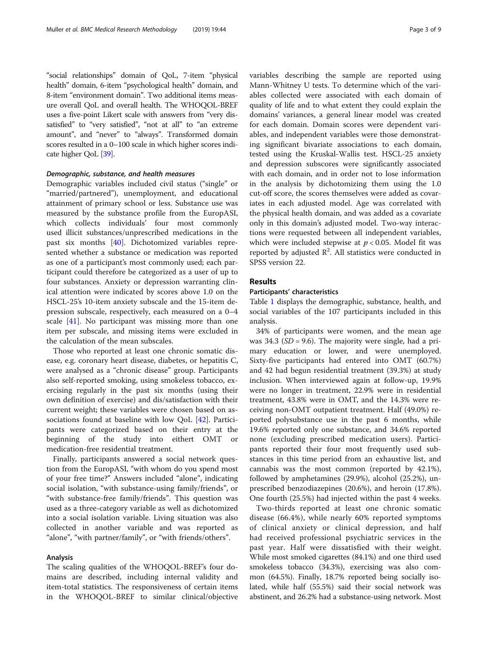"social relationships" domain of QoL, 7-item "physical health" domain, 6-item "psychological health" domain, and 8-item "environment domain". Two additional items measure overall QoL and overall health. The WHOQOL-BREF uses a five-point Likert scale with answers from "very dissatisfied" to "very satisfied", "not at all" to "an extreme amount", and "never" to "always". Transformed domain scores resulted in a 0–100 scale in which higher scores indicate higher QoL [[39](#page-8-0)].

# Demographic, substance, and health measures

Demographic variables included civil status ("single" or "married/partnered"), unemployment, and educational attainment of primary school or less. Substance use was measured by the substance profile from the EuropASI, which collects individuals' four most commonly used illicit substances/unprescribed medications in the past six months [\[40](#page-8-0)]. Dichotomized variables represented whether a substance or medication was reported as one of a participant's most commonly used; each participant could therefore be categorized as a user of up to four substances. Anxiety or depression warranting clinical attention were indicated by scores above 1.0 on the HSCL-25's 10-item anxiety subscale and the 15-item depression subscale, respectively, each measured on a 0–4 scale [\[41](#page-8-0)]. No participant was missing more than one item per subscale, and missing items were excluded in the calculation of the mean subscales.

Those who reported at least one chronic somatic disease, e.g. coronary heart disease, diabetes, or hepatitis C, were analysed as a "chronic disease" group. Participants also self-reported smoking, using smokeless tobacco, exercising regularly in the past six months (using their own definition of exercise) and dis/satisfaction with their current weight; these variables were chosen based on associations found at baseline with low QoL [[42\]](#page-8-0). Participants were categorized based on their entry at the beginning of the study into eithert OMT or medication-free residential treatment.

Finally, participants answered a social network question from the EuropASI, "with whom do you spend most of your free time?" Answers included "alone", indicating social isolation, "with substance-using family/friends", or "with substance-free family/friends". This question was used as a three-category variable as well as dichotomized into a social isolation variable. Living situation was also collected in another variable and was reported as "alone", "with partner/family", or "with friends/others".

# Analysis

The scaling qualities of the WHOQOL-BREF's four domains are described, including internal validity and item-total statistics. The responsiveness of certain items in the WHOQOL-BREF to similar clinical/objective variables describing the sample are reported using Mann-Whitney U tests. To determine which of the variables collected were associated with each domain of quality of life and to what extent they could explain the domains' variances, a general linear model was created for each domain. Domain scores were dependent variables, and independent variables were those demonstrating significant bivariate associations to each domain, tested using the Kruskal-Wallis test. HSCL-25 anxiety and depression subscores were significantly associated with each domain, and in order not to lose information in the analysis by dichotomizing them using the 1.0 cut-off score, the scores themselves were added as covariates in each adjusted model. Age was correlated with the physical health domain, and was added as a covariate only in this domain's adjusted model. Two-way interactions were requested between all independent variables, which were included stepwise at  $p < 0.05$ . Model fit was reported by adjusted  $\mathbb{R}^2$ . All statistics were conducted in SPSS version 22.

# Results

# Participants' characteristics

Table [1](#page-3-0) displays the demographic, substance, health, and social variables of the 107 participants included in this analysis.

34% of participants were women, and the mean age was  $34.3$  (*SD* = 9.6). The majority were single, had a primary education or lower, and were unemployed. Sixty-five participants had entered into OMT (60.7%) and 42 had begun residential treatment (39.3%) at study inclusion. When interviewed again at follow-up, 19.9% were no longer in treatment, 22.9% were in residential treatment, 43.8% were in OMT, and the 14.3% were receiving non-OMT outpatient treatment. Half (49.0%) reported polysubstance use in the past 6 months, while 19.6% reported only one substance, and 34.6% reported none (excluding prescribed medication users). Participants reported their four most frequently used substances in this time period from an exhaustive list, and cannabis was the most common (reported by 42.1%), followed by amphetamines (29.9%), alcohol (25.2%), unprescribed benzodiazepines (20.6%), and heroin (17.8%). One fourth (25.5%) had injected within the past 4 weeks.

Two-thirds reported at least one chronic somatic disease (66.4%), while nearly 60% reported symptoms of clinical anxiety or clinical depression, and half had received professional psychiatric services in the past year. Half were dissatisfied with their weight. While most smoked cigarettes (84.1%) and one third used smokeless tobacco (34.3%), exercising was also common (64.5%). Finally, 18.7% reported being socially isolated, while half (55.5%) said their social network was abstinent, and 26.2% had a substance-using network. Most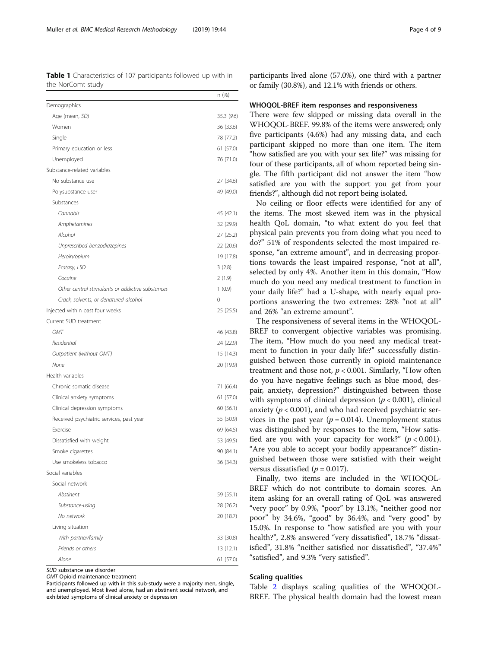<span id="page-3-0"></span>Table 1 Characteristics of 107 participants followed up with in the NorComt study

|                                                  | n (%)      |
|--------------------------------------------------|------------|
| Demographics                                     |            |
| Age (mean, SD)                                   | 35.3 (9.6) |
| Women                                            | 36 (33.6)  |
| Single                                           | 78 (77.2)  |
| Primary education or less                        | 61 (57.0)  |
| Unemployed                                       | 76 (71.0)  |
| Substance-related variables                      |            |
| No substance use                                 | 27 (34.6)  |
| Polysubstance user                               | 49 (49.0)  |
| Substances                                       |            |
| Cannabis                                         | 45 (42.1)  |
| Amphetamines                                     | 32 (29.9)  |
| Alcohol                                          | 27 (25.2)  |
| Unprescribed benzodiazepines                     | 22 (20.6)  |
| Heroin/opium                                     | 19 (17.8)  |
| Ecstasy, LSD                                     | 3(2.8)     |
| Cocaine                                          | 2 (1.9)    |
| Other central stimulants or addictive substances | 1(0.9)     |
| Crack, solvents, or denatured alcohol            | 0          |
| Injected within past four weeks                  | 25 (25.5)  |
| Current SUD treatment                            |            |
| OMT                                              | 46 (43.8)  |
| Residential                                      | 24 (22.9)  |
| Outpatient (without OMT)                         | 15 (14.3)  |
| None                                             | 20 (19.9)  |
| Health variables                                 |            |
| Chronic somatic disease                          | 71 (66.4)  |
| Clinical anxiety symptoms                        | 61 (57.0)  |
| Clinical depression symptoms                     | 60 (56.1)  |
| Received psychiatric services, past year         | 55 (50.9)  |
| Exercise                                         | 69 (64.5)  |
| Dissatisfied with weight                         | 53 (49.5)  |
| Smoke cigarettes                                 | 90 (84.1)  |
| Use smokeless tobacco                            | 36 (34.3)  |
| Social variables                                 |            |
| Social network                                   |            |
| Abstinent                                        | 59 (55.1)  |
| Substance-using                                  | 28 (26.2)  |
| No network                                       | 20 (18.7)  |
| Living situation                                 |            |
| With partner/family                              | 33 (30.8)  |
| Friends or others                                | 13 (12.1)  |
| Alone                                            | 61 (57.0)  |

SUD substance use disorder

OMT Opioid maintenance treatment

Participants followed up with in this sub-study were a majority men, single, and unemployed. Most lived alone, had an abstinent social network, and exhibited symptoms of clinical anxiety or depression

participants lived alone (57.0%), one third with a partner or family (30.8%), and 12.1% with friends or others.

#### WHOQOL-BREF item responses and responsiveness

There were few skipped or missing data overall in the WHOQOL-BREF. 99.8% of the items were answered; only five participants (4.6%) had any missing data, and each participant skipped no more than one item. The item "how satisfied are you with your sex life?" was missing for four of these participants, all of whom reported being single. The fifth participant did not answer the item "how satisfied are you with the support you get from your friends?", although did not report being isolated.

No ceiling or floor effects were identified for any of the items. The most skewed item was in the physical health QoL domain, "to what extent do you feel that physical pain prevents you from doing what you need to do?" 51% of respondents selected the most impaired response, "an extreme amount", and in decreasing proportions towards the least impaired response, "not at all", selected by only 4%. Another item in this domain, "How much do you need any medical treatment to function in your daily life?" had a U-shape, with nearly equal proportions answering the two extremes: 28% "not at all" and 26% "an extreme amount".

The responsiveness of several items in the WHOQOL-BREF to convergent objective variables was promising. The item, "How much do you need any medical treatment to function in your daily life?" successfully distinguished between those currently in opioid maintenance treatment and those not,  $p < 0.001$ . Similarly, "How often do you have negative feelings such as blue mood, despair, anxiety, depression?" distinguished between those with symptoms of clinical depression ( $p < 0.001$ ), clinical anxiety ( $p < 0.001$ ), and who had received psychiatric services in the past year ( $p = 0.014$ ). Unemployment status was distinguished by responses to the item, "How satisfied are you with your capacity for work?"  $(p < 0.001)$ . "Are you able to accept your bodily appearance?" distinguished between those were satisfied with their weight versus dissatisfied ( $p = 0.017$ ).

Finally, two items are included in the WHOQOL-BREF which do not contribute to domain scores. An item asking for an overall rating of QoL was answered "very poor" by 0.9%, "poor" by 13.1%, "neither good nor poor" by 34.6%, "good" by 36.4%, and "very good" by 15.0%. In response to "how satisfied are you with your health?", 2.8% answered "very dissatisfied", 18.7% "dissatisfied", 31.8% "neither satisfied nor dissatisfied", "37.4%" "satisfied", and 9.3% "very satisfied".

# Scaling qualities

Table [2](#page-4-0) displays scaling qualities of the WHOQOL-BREF. The physical health domain had the lowest mean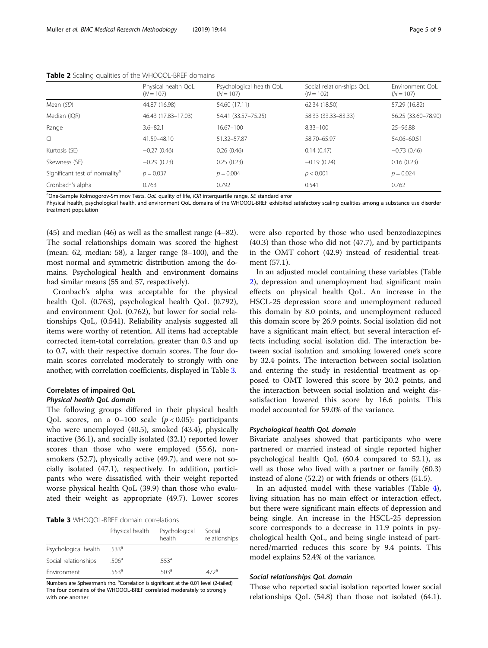|                                            | Physical health QoL<br>$(N = 107)$ | Psychological health QoL<br>$(N = 107)$ | Social relation-ships QoL<br>$(N = 102)$ | Environment OoL<br>$(N = 107)$ |
|--------------------------------------------|------------------------------------|-----------------------------------------|------------------------------------------|--------------------------------|
| Mean (SD)                                  | 44.87 (16.98)                      | 54.60 (17.11)                           | 62.34 (18.50)                            | 57.29 (16.82)                  |
| Median (IQR)                               | 46.43 (17.83-17.03)                | 54.41 (33.57-75.25)                     | 58.33 (33.33-83.33)                      | 56.25 (33.60-78.90)            |
| Range                                      | $3.6 - 82.1$                       | $16.67 - 100$                           | $8.33 - 100$                             | $25 - 96.88$                   |
| $\subset$                                  | 41.59-48.10                        | 51.32-57.87                             | 58.70-65.97                              | 54.06-60.51                    |
| Kurtosis (SE)                              | $-0.27(0.46)$                      | 0.26(0.46)                              | 0.14(0.47)                               | $-0.73(0.46)$                  |
| Skewness (SE)                              | $-0.29(0.23)$                      | 0.25(0.23)                              | $-0.19(0.24)$                            | 0.16(0.23)                     |
| Significant test of normality <sup>a</sup> | $p = 0.037$                        | $p = 0.004$                             | p < 0.001                                | $p = 0.024$                    |
| Cronbach's alpha                           | 0.763                              | 0.792                                   | 0.541                                    | 0.762                          |

<span id="page-4-0"></span>Table 2 Scaling qualities of the WHOQOL-BREF domains

<sup>a</sup>One-Sample Kolmogorov-Smirnov Tests. QoL quality of life, IQR interquartile range, SE standard error

Physical health, psychological health, and environment QoL domains of the WHOQOL-BREF exhibited satisfactory scaling qualities among a substance use disorder treatment population

(45) and median (46) as well as the smallest range (4–82). The social relationships domain was scored the highest (mean: 62, median: 58), a larger range (8–100), and the most normal and symmetric distribution among the domains. Psychological health and environment domains had similar means (55 and 57, respectively).

Cronbach's alpha was acceptable for the physical health QoL (0.763), psychological health QoL (0.792), and environment QoL (0.762), but lower for social relationships QoL, (0.541). Reliability analysis suggested all items were worthy of retention. All items had acceptable corrected item-total correlation, greater than 0.3 and up to 0.7, with their respective domain scores. The four domain scores correlated moderately to strongly with one another, with correlation coefficients, displayed in Table 3.

# Correlates of impaired QoL

# Physical health QoL domain

The following groups differed in their physical health QoL scores, on a 0-100 scale  $(p < 0.05)$ : participants who were unemployed (40.5), smoked (43.4), physically inactive (36.1), and socially isolated (32.1) reported lower scores than those who were employed (55.6), nonsmokers (52.7), physically active (49.7), and were not socially isolated (47.1), respectively. In addition, participants who were dissatisfied with their weight reported worse physical health QoL (39.9) than those who evaluated their weight as appropriate (49.7). Lower scores

|                      | Physical health   | Psychological<br>health | Social<br>relationships |
|----------------------|-------------------|-------------------------|-------------------------|
| Psychological health | .533 <sup>a</sup> |                         |                         |
| Social relationships | .506 <sup>a</sup> | .553 <sup>a</sup>       |                         |
| Environment          | 553 <sup>a</sup>  | 503 <sup>a</sup>        | 472 <sup>d</sup>        |

Numbers are Sphearman's rho. <sup>a</sup>Correlation is significant at the 0.01 level (2-tailed) The four domains of the WHOQOL-BREF correlated moderately to strongly with one another

were also reported by those who used benzodiazepines (40.3) than those who did not (47.7), and by participants in the OMT cohort (42.9) instead of residential treatment (57.1).

In an adjusted model containing these variables (Table 2), depression and unemployment had significant main effects on physical health QoL. An increase in the HSCL-25 depression score and unemployment reduced this domain by 8.0 points, and unemployment reduced this domain score by 26.9 points. Social isolation did not have a significant main effect, but several interaction effects including social isolation did. The interaction between social isolation and smoking lowered one's score by 32.4 points. The interaction between social isolation and entering the study in residential treatment as opposed to OMT lowered this score by 20.2 points, and the interaction between social isolation and weight dissatisfaction lowered this score by 16.6 points. This model accounted for 59.0% of the variance.

# Psychological health QoL domain

Bivariate analyses showed that participants who were partnered or married instead of single reported higher psychological health QoL (60.4 compared to 52.1), as well as those who lived with a partner or family (60.3) instead of alone (52.2) or with friends or others (51.5).

In an adjusted model with these variables (Table [4](#page-5-0)), living situation has no main effect or interaction effect, but there were significant main effects of depression and being single. An increase in the HSCL-25 depression score corresponds to a decrease in 11.9 points in psychological health QoL, and being single instead of partnered/married reduces this score by 9.4 points. This model explains 52.4% of the variance.

# Social relationships QoL domain

Those who reported social isolation reported lower social relationships QoL (54.8) than those not isolated (64.1).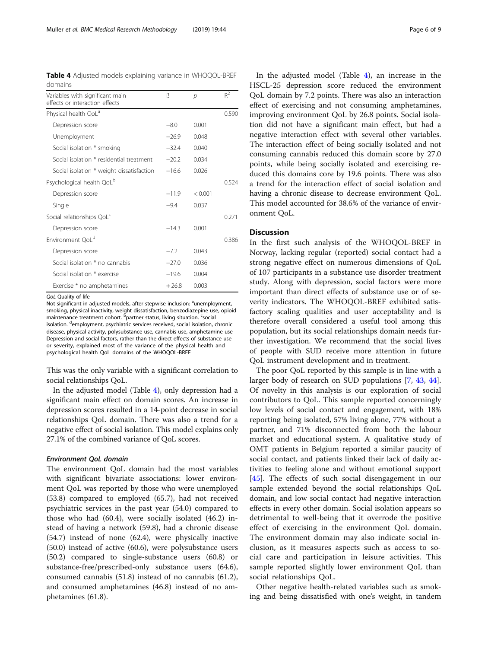<span id="page-5-0"></span>Table 4 Adjusted models explaining variance in WHOQOL-BREF domains

| Variables with significant main<br>effects or interaction effects | ß       | р       | $R^2$ |  |
|-------------------------------------------------------------------|---------|---------|-------|--|
| Physical health QoL <sup>a</sup>                                  |         |         |       |  |
| Depression score                                                  | $-8.0$  | 0.001   |       |  |
| Unemployment                                                      | $-26.9$ | 0.048   |       |  |
| Social isolation * smoking                                        | $-32.4$ | 0.040   |       |  |
| Social isolation * residential treatment                          | $-20.2$ | 0.034   |       |  |
| Social isolation * weight dissatisfaction                         | $-16.6$ | 0.026   |       |  |
| Psychological health QoL <sup>b</sup>                             |         |         | 0.524 |  |
| Depression score                                                  | $-11.9$ | < 0.001 |       |  |
| Single                                                            | $-9.4$  | 0.037   |       |  |
| Social relationships QoL <sup>c</sup>                             |         |         | 0.271 |  |
| Depression score                                                  | $-14.3$ | 0.001   |       |  |
| Environment QoL <sup>d</sup>                                      |         |         | 0.386 |  |
| Depression score                                                  | $-7.2$  | 0.043   |       |  |
| Social isolation * no cannabis                                    | $-27.0$ | 0.036   |       |  |
| Social isolation * exercise                                       | $-19.6$ | 0.004   |       |  |
| Exercise * no amphetamines                                        | $+26.8$ | 0.003   |       |  |

QoL Quality of life

Not significant in adjusted models, after stepwise inclusion: <sup>a</sup>unemployment, smoking, physical inactivity, weight dissatisfaction, benzodiazepine use, opioid maintenance treatment cohort. <sup>b</sup>partner status, living situation. <sup>c</sup>social isolation. <sup>d</sup>employment, psychiatric services received, social isolation, chronic disease, physical activity, polysubstance use, cannabis use, amphetamine use Depression and social factors, rather than the direct effects of substance use or severity, explained most of the variance of the physical health and psychological health QoL domains of the WHOQOL-BREF

This was the only variable with a significant correlation to social relationships QoL.

In the adjusted model (Table 4), only depression had a significant main effect on domain scores. An increase in depression scores resulted in a 14-point decrease in social relationships QoL domain. There was also a trend for a negative effect of social isolation. This model explains only 27.1% of the combined variance of QoL scores.

# Environment QoL domain

The environment QoL domain had the most variables with significant bivariate associations: lower environment QoL was reported by those who were unemployed (53.8) compared to employed (65.7), had not received psychiatric services in the past year (54.0) compared to those who had (60.4), were socially isolated (46.2) instead of having a network (59.8), had a chronic disease (54.7) instead of none (62.4), were physically inactive (50.0) instead of active (60.6), were polysubstance users (50.2) compared to single-substance users (60.8) or substance-free/prescribed-only substance users (64.6), consumed cannabis (51.8) instead of no cannabis (61.2), and consumed amphetamines (46.8) instead of no amphetamines (61.8).

In the adjusted model (Table 4), an increase in the HSCL-25 depression score reduced the environment QoL domain by 7.2 points. There was also an interaction effect of exercising and not consuming amphetamines, improving environment QoL by 26.8 points. Social isolation did not have a significant main effect, but had a negative interaction effect with several other variables. The interaction effect of being socially isolated and not consuming cannabis reduced this domain score by 27.0 points, while being socially isolated and exercising reduced this domains core by 19.6 points. There was also a trend for the interaction effect of social isolation and having a chronic disease to decrease environment QoL. This model accounted for 38.6% of the variance of environment QoL.

# **Discussion**

In the first such analysis of the WHOQOL-BREF in Norway, lacking regular (reported) social contact had a strong negative effect on numerous dimensions of QoL of 107 participants in a substance use disorder treatment study. Along with depression, social factors were more important than direct effects of substance use or of severity indicators. The WHOQOL-BREF exhibited satisfactory scaling qualities and user acceptability and is therefore overall considered a useful tool among this population, but its social relationships domain needs further investigation. We recommend that the social lives of people with SUD receive more attention in future QoL instrument development and in treatment.

The poor QoL reported by this sample is in line with a larger body of research on SUD populations [[7,](#page-7-0) [43,](#page-8-0) [44](#page-8-0)]. Of novelty in this analysis is our exploration of social contributors to QoL. This sample reported concerningly low levels of social contact and engagement, with 18% reporting being isolated, 57% living alone, 77% without a partner, and 71% disconnected from both the labour market and educational system. A qualitative study of OMT patients in Belgium reported a similar paucity of social contact, and patients linked their lack of daily activities to feeling alone and without emotional support [[45\]](#page-8-0). The effects of such social disengagement in our sample extended beyond the social relationships QoL domain, and low social contact had negative interaction effects in every other domain. Social isolation appears so detrimental to well-being that it overrode the positive effect of exercising in the environment QoL domain. The environment domain may also indicate social inclusion, as it measures aspects such as access to social care and participation in leisure activities. This sample reported slightly lower environment QoL than social relationships QoL.

Other negative health-related variables such as smoking and being dissatisfied with one's weight, in tandem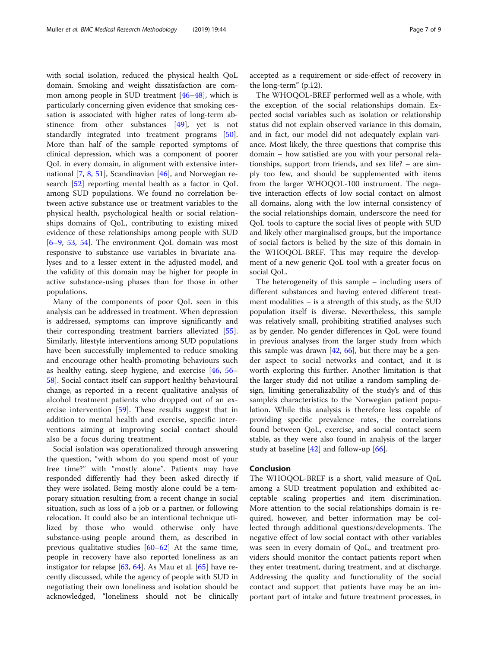with social isolation, reduced the physical health QoL domain. Smoking and weight dissatisfaction are common among people in SUD treatment [[46](#page-8-0)–[48](#page-8-0)], which is particularly concerning given evidence that smoking cessation is associated with higher rates of long-term abstinence from other substances [[49](#page-8-0)], yet is not standardly integrated into treatment programs [\[50](#page-8-0)]. More than half of the sample reported symptoms of clinical depression, which was a component of poorer QoL in every domain, in alignment with extensive international [\[7,](#page-7-0) [8](#page-7-0), [51](#page-8-0)], Scandinavian [[46\]](#page-8-0), and Norwegian research [\[52\]](#page-8-0) reporting mental health as a factor in QoL among SUD populations. We found no correlation between active substance use or treatment variables to the physical health, psychological health or social relationships domains of QoL, contributing to existing mixed evidence of these relationships among people with SUD [[6](#page-7-0)–[9,](#page-7-0) [53,](#page-8-0) [54\]](#page-8-0). The environment QoL domain was most responsive to substance use variables in bivariate analyses and to a lesser extent in the adjusted model, and the validity of this domain may be higher for people in active substance-using phases than for those in other populations.

Many of the components of poor QoL seen in this analysis can be addressed in treatment. When depression is addressed, symptoms can improve significantly and their corresponding treatment barriers alleviated [\[55](#page-8-0)]. Similarly, lifestyle interventions among SUD populations have been successfully implemented to reduce smoking and encourage other health-promoting behaviours such as healthy eating, sleep hygiene, and exercise [\[46](#page-8-0), [56](#page-8-0)– [58\]](#page-8-0). Social contact itself can support healthy behavioural change, as reported in a recent qualitative analysis of alcohol treatment patients who dropped out of an ex-ercise intervention [\[59](#page-8-0)]. These results suggest that in addition to mental health and exercise, specific interventions aiming at improving social contact should also be a focus during treatment.

Social isolation was operationalized through answering the question, "with whom do you spend most of your free time?" with "mostly alone". Patients may have responded differently had they been asked directly if they were isolated. Being mostly alone could be a temporary situation resulting from a recent change in social situation, such as loss of a job or a partner, or following relocation. It could also be an intentional technique utilized by those who would otherwise only have substance-using people around them, as described in previous qualitative studies [[60](#page-8-0)–[62\]](#page-8-0) At the same time, people in recovery have also reported loneliness as an instigator for relapse [\[63](#page-8-0), [64](#page-8-0)]. As Mau et al. [[65](#page-8-0)] have recently discussed, while the agency of people with SUD in negotiating their own loneliness and isolation should be acknowledged, "loneliness should not be clinically accepted as a requirement or side-effect of recovery in the long-term" (p.12).

The WHOQOL-BREF performed well as a whole, with the exception of the social relationships domain. Expected social variables such as isolation or relationship status did not explain observed variance in this domain, and in fact, our model did not adequately explain variance. Most likely, the three questions that comprise this domain – how satisfied are you with your personal relationships, support from friends, and sex life? – are simply too few, and should be supplemented with items from the larger WHOQOL-100 instrument. The negative interaction effects of low social contact on almost all domains, along with the low internal consistency of the social relationships domain, underscore the need for QoL tools to capture the social lives of people with SUD and likely other marginalised groups, but the importance of social factors is belied by the size of this domain in the WHOQOL-BREF. This may require the development of a new generic QoL tool with a greater focus on social QoL.

The heterogeneity of this sample – including users of different substances and having entered different treatment modalities – is a strength of this study, as the SUD population itself is diverse. Nevertheless, this sample was relatively small, prohibiting stratified analyses such as by gender. No gender differences in QoL were found in previous analyses from the larger study from which this sample was drawn  $[42, 66]$  $[42, 66]$  $[42, 66]$  $[42, 66]$  $[42, 66]$ , but there may be a gender aspect to social networks and contact, and it is worth exploring this further. Another limitation is that the larger study did not utilize a random sampling design, limiting generalizability of the study's and of this sample's characteristics to the Norwegian patient population. While this analysis is therefore less capable of providing specific prevalence rates, the correlations found between QoL, exercise, and social contact seem stable, as they were also found in analysis of the larger study at baseline [[42\]](#page-8-0) and follow-up [[66\]](#page-8-0).

# Conclusion

The WHOQOL-BREF is a short, valid measure of QoL among a SUD treatment population and exhibited acceptable scaling properties and item discrimination. More attention to the social relationships domain is required, however, and better information may be collected through additional questions/developments. The negative effect of low social contact with other variables was seen in every domain of QoL, and treatment providers should monitor the contact patients report when they enter treatment, during treatment, and at discharge. Addressing the quality and functionality of the social contact and support that patients have may be an important part of intake and future treatment processes, in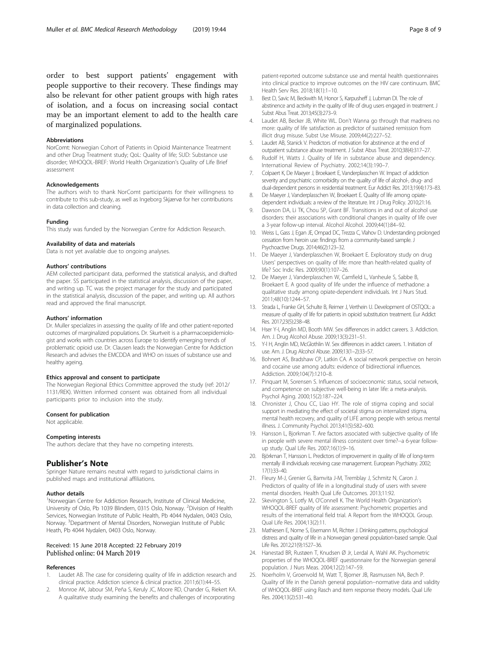<span id="page-7-0"></span>order to best support patients' engagement with people supportive to their recovery. These findings may also be relevant for other patient groups with high rates of isolation, and a focus on increasing social contact may be an important element to add to the health care of marginalized populations.

# Abbreviations

NorComt: Norwegian Cohort of Patients in Opioid Maintenance Treatment and other Drug Treatment study; QoL: Quality of life; SUD: Substance use disorder; WHOQOL-BREF: World Health Organization's Quality of Life Brief assessment

#### Acknowledgements

The authors wish to thank NorComt participants for their willingness to contribute to this sub-study, as well as Ingeborg Skjærvø for her contributions in data collection and cleaning.

#### Funding

This study was funded by the Norwegian Centre for Addiction Research.

#### Availability of data and materials

Data is not yet available due to ongoing analyses.

# Authors' contributions

AEM collected participant data, performed the statistical analysis, and drafted the paper. SS participated in the statistical analysis, discussion of the paper, and writing up. TC was the project manager for the study and participated in the statistical analysis, discussion of the paper, and writing up. All authors read and approved the final manuscript.

#### Authors' information

Dr. Muller specializes in assessing the quality of life and other patient-reported outcomes of marginalized populations. Dr. Skurtveit is a pharmacoepidemiologist and works with countries across Europe to identify emerging trends of problematic opioid use. Dr. Clausen leads the Norwegian Centre for Addiction Research and advises the EMCDDA and WHO on issues of substance use and healthy ageing.

#### Ethics approval and consent to participate

The Norwegian Regional Ethics Committee approved the study (ref: 2012/ 1131/REK). Written informed consent was obtained from all individual participants prior to inclusion into the study.

# Consent for publication

Not applicable.

#### Competing interests

The authors declare that they have no competing interests.

# Publisher's Note

Springer Nature remains neutral with regard to jurisdictional claims in published maps and institutional affiliations.

#### Author details

<sup>1</sup>Norwegian Centre for Addiction Research, Institute of Clinical Medicine, University of Oslo, Pb 1039 Blindern, 0315 Oslo, Norway. <sup>2</sup>Division of Health Services, Norwegian Institute of Public Health, Pb 4044 Nydalen, 0403 Oslo, Norway. <sup>3</sup>Department of Mental Disorders, Norwegian Institute of Public Heath, Pb 4044 Nydalen, 0403 Oslo, Norway.

# Received: 15 June 2018 Accepted: 22 February 2019<br>Published online: 04 March 2019

### References

- 1. Laudet AB. The case for considering quality of life in addiction research and clinical practice. Addiction science & clinical practice. 2011;6(1):44–55.
- 2. Monroe AK, Jabour SM, Peña S, Keruly JC, Moore RD, Chander G, Riekert KA. A qualitative study examining the benefits and challenges of incorporating

patient-reported outcome substance use and mental health questionnaires into clinical practice to improve outcomes on the HIV care continuum. BMC Health Serv Res. 2018;18(1):1–10.

- 3. Best D, Savic M, Beckwith M, Honor S, Karpusheff J, Lubman DI. The role of abstinence and activity in the quality of life of drug users engaged in treatment. J Subst Abus Treat. 2013;45(3):273–9.
- 4. Laudet AB, Becker JB, White WL. Don't Wanna go through that madness no more: quality of life satisfaction as predictor of sustained remission from illicit drug misuse. Subst Use Misuse. 2009;44(2):227–52.
- 5. Laudet AB, Stanick V. Predictors of motivation for abstinence at the end of outpatient substance abuse treatment. J Subst Abus Treat. 2010;38(4):317–27.
- 6. Rudolf H, Watts J. Quality of life in substance abuse and dependency. International Review of Psychiatry. 2002;14(3):190–7.
- 7. Colpaert K, De Maeyer J, Broekaert E, Vanderplasschen W. Impact of addiction severity and psychiatric comorbidity on the quality of life of alcohol-, drug- and dual-dependent persons in residential treatment. Eur Addict Res. 2013;19(4):173–83.
- 8. De Maeyer J, Vanderplasschen W, Broekaert E. Quality of life among opiatedependent individuals: a review of the literature. Int J Drug Policy. 2010;21:16.
- Dawson DA, Li TK, Chou SP, Grant BF. Transitions in and out of alcohol use disorders: their associations with conditional changes in quality of life over a 3-year follow-up interval. Alcohol Alcohol. 2009;44(1):84–92.
- 10. Weiss L, Gass J, Egan JE, Ompad DC, Trezza C, Vlahov D. Understanding prolonged cessation from heroin use: findings from a community-based sample. J Psychoactive Drugs. 2014;46(2):123–32.
- 11. De Maeyer J, Vanderplasschen W, Broekaert E. Exploratory study on drug Users' perspectives on quality of life: more than health-related quality of life? Soc Indic Res. 2009;90(1):107–26.
- 12. De Maeyer J, Vanderplasschen W, Camfield L, Vanheule S, Sabbe B, Broekaert E. A good quality of life under the influence of methadone: a qualitative study among opiate-dependent individuals. Int J Nurs Stud. 2011;48(10):1244–57.
- 13. Strada L, Franke GH, Schulte B, Reimer J, Verthein U. Development of OSTQOL: a measure of quality of life for patients in opioid substitution treatment. Eur Addict Res. 2017;23(5):238–48.
- 14. Hser Y-I, Anglin MD, Booth MW. Sex differences in addict careers. 3. Addiction. Am. J. Drug Alcohol Abuse. 2009;13(3):231–51.
- 15. Y-l H, Anglin MD, McGlothlin W. Sex differences in addict careers. 1. Initiation of use. Am. J. Drug Alcohol Abuse. 2009;13(1–2):33–57.
- 16. Bohnert AS, Bradshaw CP, Latkin CA. A social network perspective on heroin and cocaine use among adults: evidence of bidirectional influences. Addiction. 2009;104(7):1210–8.
- 17. Pinquart M, Sorensen S. Influences of socioeconomic status, social network, and competence on subjective well-being in later life: a meta-analysis. Psychol Aging. 2000;15(2):187–224.
- 18. Chronister J, Chou CC, Liao HY. The role of stigma coping and social support in mediating the effect of societal stigma on internalized stigma, mental health recovery, and quality of LIFE among people with serious mental illness. J. Community Psychol. 2013;41(5):582–600.
- 19. Hansson L, Bjorkman T. Are factors associated with subjective quality of life in people with severe mental illness consistent over time?--a 6-year followup study. Qual Life Res. 2007;16(1):9–16.
- 20. Björkman T, Hansson L. Predictors of improvement in quality of life of long-term mentally ill individuals receiving case management. European Psychiatry. 2002; 17(1):33–40.
- 21. Fleury M-J, Grenier G, Bamvita J-M, Tremblay J, Schmitz N, Caron J. Predictors of quality of life in a longitudinal study of users with severe mental disorders. Health Qual Life Outcomes. 2013;11:92.
- 22. Skevington S, Lotfy M, O'Connell K. The World Health Organization's WHOQOL-BREF quality of life assessment: Psychometric properties and results of the international field trial. A Report from the WHOQOL Group. Qual Life Res. 2004;13(2):11.
- 23. Mathiesen E, Nome S, Eisemann M, Richter J. Drinking patterns, psychological distress and quality of life in a Norwegian general population-based sample. Qual Life Res. 2012;21(9):1527–36.
- 24. Hanestad BR, Rustøen T, Knudsen Ø Jr, Lerdal A, Wahl AK. Psychometric properties of the WHOQOL-BREF questionnaire for the Norwegian general population. J Nurs Meas. 2004;12(2):147–59.
- 25. Noerholm V, Groenvold M, Watt T, Bjorner JB, Rasmussen NA, Bech P. Quality of life in the Danish general population--normative data and validity of WHOQOL-BREF using Rasch and item response theory models. Qual Life Res. 2004;13(2):531–40.